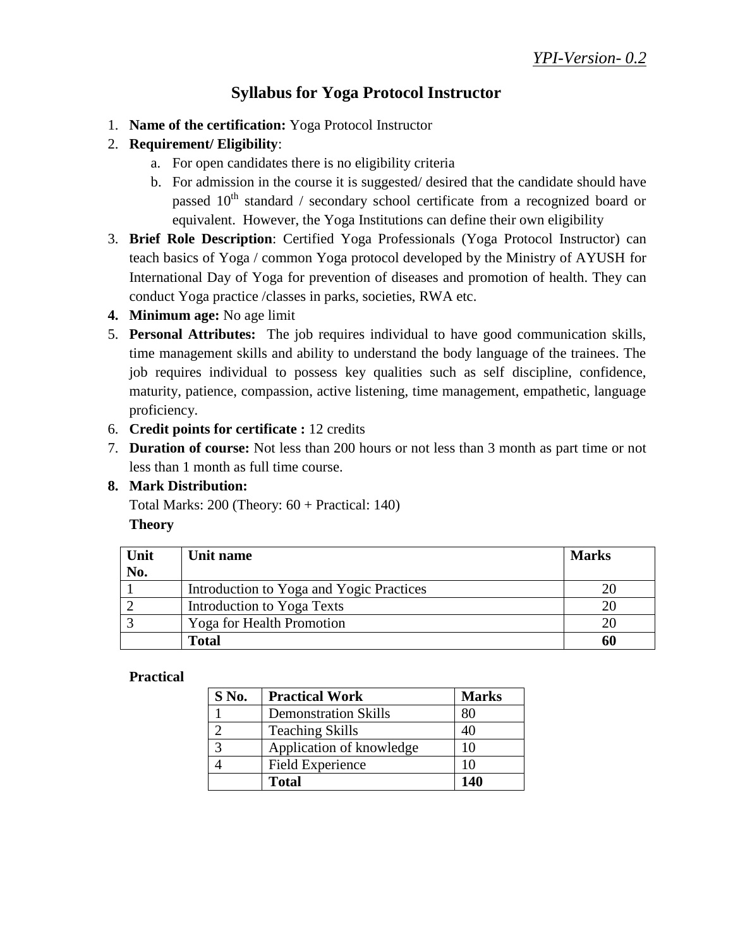## **Syllabus for Yoga Protocol Instructor**

- 1. **Name of the certification:** Yoga Protocol Instructor
- 2. **Requirement/ Eligibility**:
	- a. For open candidates there is no eligibility criteria
	- b. For admission in the course it is suggested/ desired that the candidate should have passed  $10<sup>th</sup>$  standard / secondary school certificate from a recognized board or equivalent. However, the Yoga Institutions can define their own eligibility
- 3. **Brief Role Description**: Certified Yoga Professionals (Yoga Protocol Instructor) can teach basics of Yoga / common Yoga protocol developed by the Ministry of AYUSH for International Day of Yoga for prevention of diseases and promotion of health. They can conduct Yoga practice /classes in parks, societies, RWA etc.
- **4. Minimum age:** No age limit
- 5. **Personal Attributes:** The job requires individual to have good communication skills, time management skills and ability to understand the body language of the trainees. The job requires individual to possess key qualities such as self discipline, confidence, maturity, patience, compassion, active listening, time management, empathetic, language proficiency.
- 6. **Credit points for certificate :** 12 credits
- 7. **Duration of course:** Not less than 200 hours or not less than 3 month as part time or not less than 1 month as full time course.

## **8. Mark Distribution:**

Total Marks: 200 (Theory: 60 + Practical: 140) **Theory**

| Unit | Unit name                                | <b>Marks</b> |
|------|------------------------------------------|--------------|
| No.  |                                          |              |
|      | Introduction to Yoga and Yogic Practices |              |
|      | Introduction to Yoga Texts               |              |
|      | <b>Yoga for Health Promotion</b>         |              |
|      | <b>Total</b>                             | 60           |

#### **Practical**

| S No.        | <b>Practical Work</b>       | <b>Marks</b> |
|--------------|-----------------------------|--------------|
|              | <b>Demonstration Skills</b> | 80           |
|              | <b>Teaching Skills</b>      | 40           |
| $\mathbf{c}$ | Application of knowledge    | 10           |
|              | <b>Field Experience</b>     | 10           |
|              | <b>Total</b>                | 140          |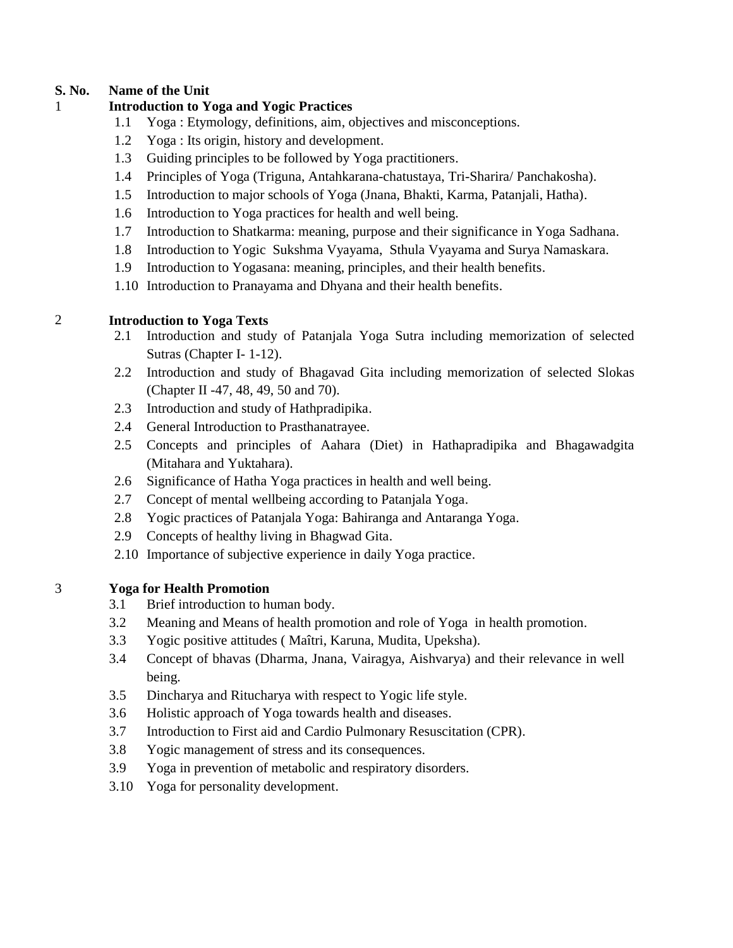#### **S. No. Name of the Unit**

#### 1 **Introduction to Yoga and Yogic Practices**

- 1.1 Yoga : Etymology, definitions, aim, objectives and misconceptions.
- 1.2 Yoga : Its origin, history and development.
- 1.3 Guiding principles to be followed by Yoga practitioners.
- 1.4 Principles of Yoga (Triguna, Antahkarana-chatustaya, Tri-Sharira/ Panchakosha).
- 1.5 Introduction to major schools of Yoga (Jnana, Bhakti, Karma, Patanjali, Hatha).
- 1.6 Introduction to Yoga practices for health and well being.
- 1.7 Introduction to Shatkarma: meaning, purpose and their significance in Yoga Sadhana.
- 1.8 Introduction to Yogic Sukshma Vyayama, Sthula Vyayama and Surya Namaskara.
- 1.9 Introduction to Yogasana: meaning, principles, and their health benefits.
- 1.10 Introduction to Pranayama and Dhyana and their health benefits.

#### 2 **Introduction to Yoga Texts**

- 2.1 Introduction and study of Patanjala Yoga Sutra including memorization of selected Sutras (Chapter I- 1-12).
- 2.2 Introduction and study of Bhagavad Gita including memorization of selected Slokas (Chapter II -47, 48, 49, 50 and 70).
- 2.3 Introduction and study of Hathpradipika.
- 2.4 General Introduction to Prasthanatrayee.
- 2.5 Concepts and principles of Aahara (Diet) in Hathapradipika and Bhagawadgita (Mitahara and Yuktahara).
- 2.6 Significance of Hatha Yoga practices in health and well being.
- 2.7 Concept of mental wellbeing according to Patanjala Yoga.
- 2.8 Yogic practices of Patanjala Yoga: Bahiranga and Antaranga Yoga.
- 2.9 Concepts of healthy living in Bhagwad Gita.
- 2.10 Importance of subjective experience in daily Yoga practice.

#### 3 **Yoga for Health Promotion**

- 3.1 Brief introduction to human body.
- 3.2 Meaning and Means of health promotion and role of Yoga in health promotion.
- 3.3 Yogic positive attitudes ( Maîtri, Karuna, Mudita, Upeksha).
- 3.4 Concept of bhavas (Dharma, Jnana, Vairagya, Aishvarya) and their relevance in well being.
- 3.5 Dincharya and Ritucharya with respect to Yogic life style.
- 3.6 Holistic approach of Yoga towards health and diseases.
- 3.7 Introduction to First aid and Cardio Pulmonary Resuscitation (CPR).
- 3.8 Yogic management of stress and its consequences.
- 3.9 Yoga in prevention of metabolic and respiratory disorders.
- 3.10 Yoga for personality development.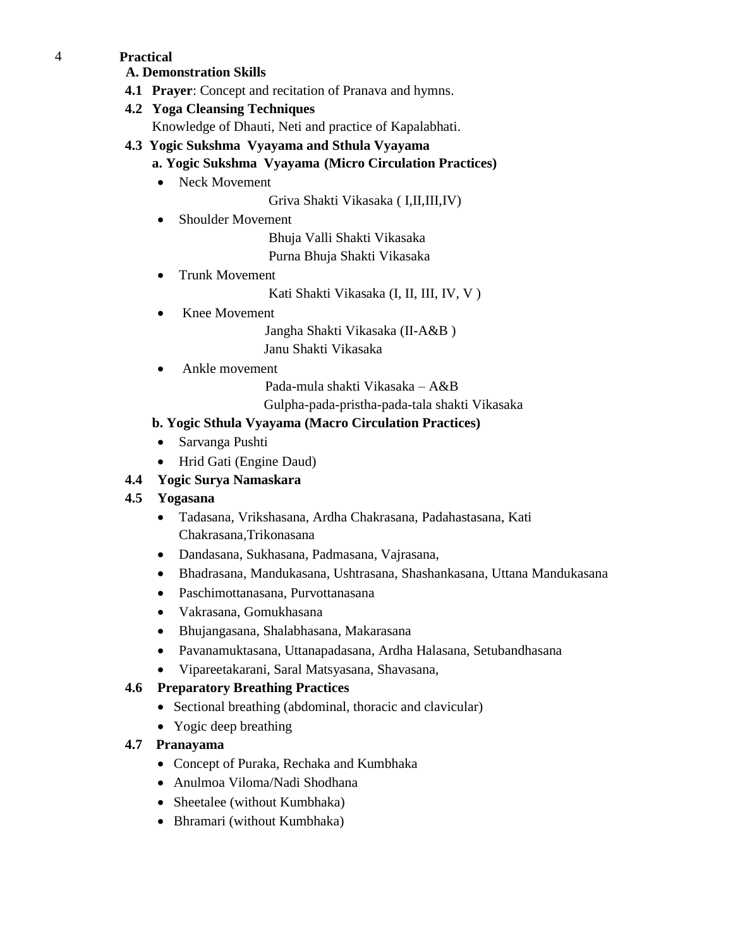#### 4 **Practical**

**A. Demonstration Skills**

**4.1 Prayer**: Concept and recitation of Pranava and hymns.

#### **4.2 Yoga Cleansing Techniques**

- Knowledge of Dhauti, Neti and practice of Kapalabhati.
- **4.3 Yogic Sukshma Vyayama and Sthula Vyayama**

## **a. Yogic Sukshma Vyayama (Micro Circulation Practices)**

• Neck Movement

Griva Shakti Vikasaka ( I,II,III,IV)

• Shoulder Movement

Bhuja Valli Shakti Vikasaka

Purna Bhuja Shakti Vikasaka

• Trunk Movement

Kati Shakti Vikasaka (I, II, III, IV, V )

• Knee Movement

 Jangha Shakti Vikasaka (II-A&B ) Janu Shakti Vikasaka

Ankle movement

Pada-mula shakti Vikasaka – A&B

Gulpha-pada-pristha-pada-tala shakti Vikasaka

#### **b. Yogic Sthula Vyayama (Macro Circulation Practices)**

- Sarvanga Pushti
- Hrid Gati (Engine Daud)

### **4.4 Yogic Surya Namaskara**

#### **4.5 Yogasana**

- Tadasana, Vrikshasana, Ardha Chakrasana, Padahastasana, Kati Chakrasana,Trikonasana
- Dandasana, Sukhasana, Padmasana, Vajrasana,
- Bhadrasana, Mandukasana, Ushtrasana, Shashankasana, Uttana Mandukasana
- Paschimottanasana, Purvottanasana
- Vakrasana, Gomukhasana
- Bhujangasana, Shalabhasana, Makarasana
- Pavanamuktasana, Uttanapadasana, Ardha Halasana, Setubandhasana
- Vipareetakarani, Saral Matsyasana, Shavasana,

## **4.6 Preparatory Breathing Practices**

- Sectional breathing (abdominal, thoracic and clavicular)
- Yogic deep breathing

## **4.7 Pranayama**

- Concept of Puraka, Rechaka and Kumbhaka
- Anulmoa Viloma/Nadi Shodhana
- Sheetalee (without Kumbhaka)
- Bhramari (without Kumbhaka)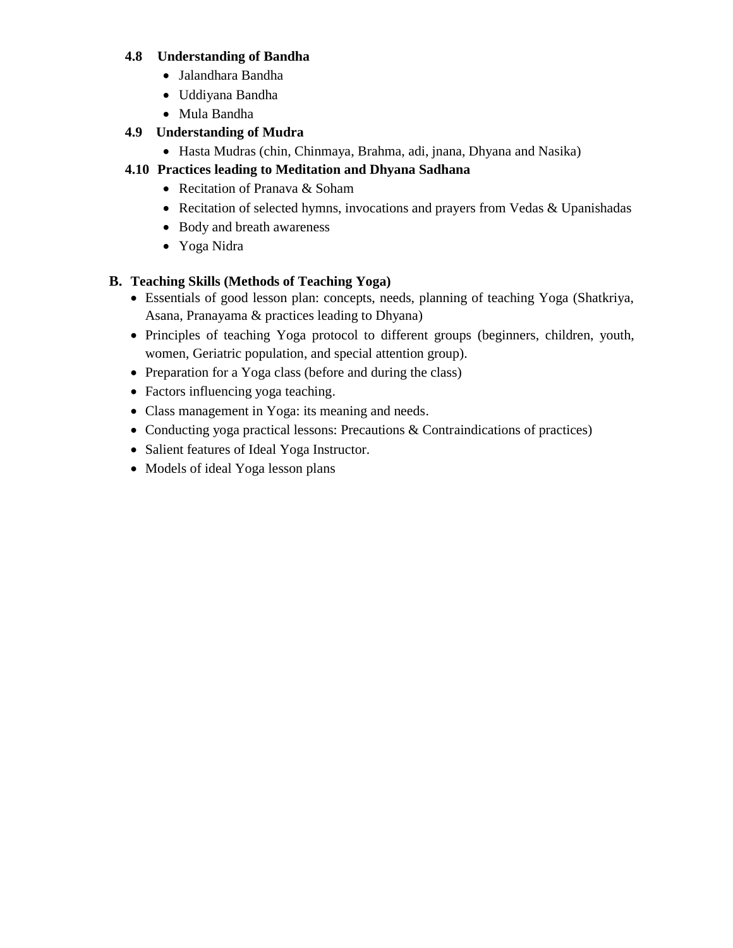#### **4.8 Understanding of Bandha**

- Jalandhara Bandha
- Uddiyana Bandha
- Mula Bandha

#### **4.9 Understanding of Mudra**

Hasta Mudras (chin, Chinmaya, Brahma, adi, jnana, Dhyana and Nasika)

## **4.10 Practices leading to Meditation and Dhyana Sadhana**

- Recitation of Pranava & Soham
- Recitation of selected hymns, invocations and prayers from Vedas & Upanishadas
- Body and breath awareness
- Yoga Nidra

#### **B. Teaching Skills (Methods of Teaching Yoga)**

- Essentials of good lesson plan: concepts, needs, planning of teaching Yoga (Shatkriya, Asana, Pranayama & practices leading to Dhyana)
- Principles of teaching Yoga protocol to different groups (beginners, children, youth, women, Geriatric population, and special attention group).
- Preparation for a Yoga class (before and during the class)
- Factors influencing yoga teaching.
- Class management in Yoga: its meaning and needs.
- Conducting yoga practical lessons: Precautions & Contraindications of practices)
- Salient features of Ideal Yoga Instructor.
- Models of ideal Yoga lesson plans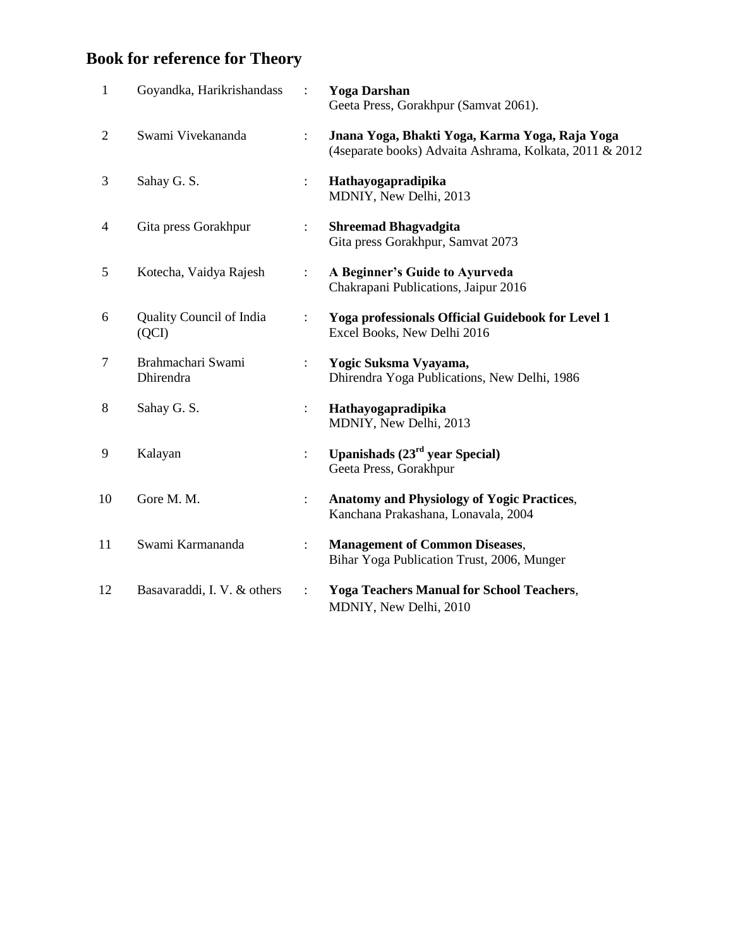# **Book for reference for Theory**

| Jnana Yoga, Bhakti Yoga, Karma Yoga, Raja Yoga<br>(4separate books) Advaita Ashrama, Kolkata, 2011 & 2012 |
|-----------------------------------------------------------------------------------------------------------|
|                                                                                                           |
|                                                                                                           |
|                                                                                                           |
|                                                                                                           |
| Yoga professionals Official Guidebook for Level 1                                                         |
| Dhirendra Yoga Publications, New Delhi, 1986                                                              |
|                                                                                                           |
|                                                                                                           |
| <b>Anatomy and Physiology of Yogic Practices,</b>                                                         |
| Bihar Yoga Publication Trust, 2006, Munger                                                                |
| <b>Yoga Teachers Manual for School Teachers,</b>                                                          |
|                                                                                                           |